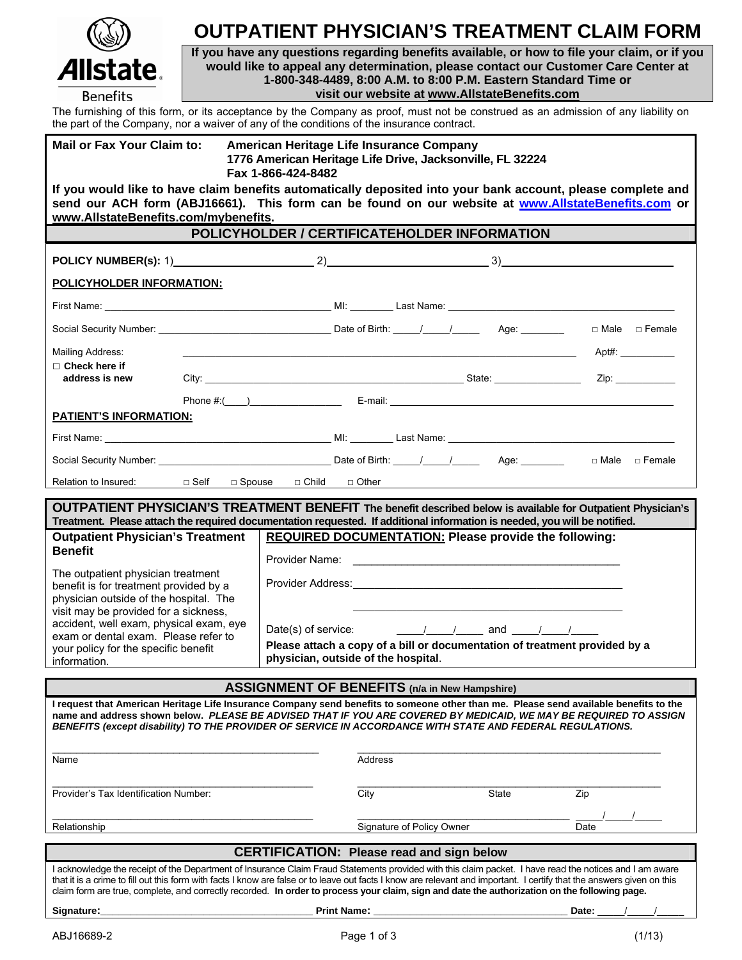| $(\mathbb{Q})$  |
|-----------------|
| Allstate        |
| <b>Benefits</b> |

## **OUTPATIENT PHYSICIAN'S TREATMENT CLAIM FORM**

**If you have any questions regarding benefits available, or how to file your claim, or if you would like to appeal any determination, please contact our Customer Care Center at 1-800-348-4489, 8:00 A.M. to 8:00 P.M. Eastern Standard Time or visit our website at www.AllstateBenefits.com**

The furnishing of this form, or its acceptance by the Company as proof, must not be construed as an admission of any liability on the part of the Company as proof, the incurrence contract the part of the Company, nor a waiver of any of the conditions of the insurance contract.

| the part of the Company, nor a waiver of any of the conditions of the insurance contract.                                                                                                                                                                                                                                                                                                                                                                                          |                                                                                                                             |                                                                                                                                                                                                                                |                           |              |                                                                                                                                                                                                                                |  |  |  |  |  |
|------------------------------------------------------------------------------------------------------------------------------------------------------------------------------------------------------------------------------------------------------------------------------------------------------------------------------------------------------------------------------------------------------------------------------------------------------------------------------------|-----------------------------------------------------------------------------------------------------------------------------|--------------------------------------------------------------------------------------------------------------------------------------------------------------------------------------------------------------------------------|---------------------------|--------------|--------------------------------------------------------------------------------------------------------------------------------------------------------------------------------------------------------------------------------|--|--|--|--|--|
| <b>Mail or Fax Your Claim to:</b>                                                                                                                                                                                                                                                                                                                                                                                                                                                  | American Heritage Life Insurance Company<br>1776 American Heritage Life Drive, Jacksonville, FL 32224<br>Fax 1-866-424-8482 |                                                                                                                                                                                                                                |                           |              |                                                                                                                                                                                                                                |  |  |  |  |  |
| If you would like to have claim benefits automatically deposited into your bank account, please complete and<br>send our ACH form (ABJ16661). This form can be found on our website at www.AllstateBenefits.com or                                                                                                                                                                                                                                                                 |                                                                                                                             |                                                                                                                                                                                                                                |                           |              |                                                                                                                                                                                                                                |  |  |  |  |  |
| www.AllstateBenefits.com/mybenefits.<br>POLICYHOLDER / CERTIFICATEHOLDER INFORMATION                                                                                                                                                                                                                                                                                                                                                                                               |                                                                                                                             |                                                                                                                                                                                                                                |                           |              |                                                                                                                                                                                                                                |  |  |  |  |  |
|                                                                                                                                                                                                                                                                                                                                                                                                                                                                                    |                                                                                                                             |                                                                                                                                                                                                                                |                           |              |                                                                                                                                                                                                                                |  |  |  |  |  |
|                                                                                                                                                                                                                                                                                                                                                                                                                                                                                    |                                                                                                                             |                                                                                                                                                                                                                                |                           |              |                                                                                                                                                                                                                                |  |  |  |  |  |
| POLICYHOLDER INFORMATION:                                                                                                                                                                                                                                                                                                                                                                                                                                                          |                                                                                                                             |                                                                                                                                                                                                                                |                           |              |                                                                                                                                                                                                                                |  |  |  |  |  |
|                                                                                                                                                                                                                                                                                                                                                                                                                                                                                    |                                                                                                                             |                                                                                                                                                                                                                                |                           |              |                                                                                                                                                                                                                                |  |  |  |  |  |
|                                                                                                                                                                                                                                                                                                                                                                                                                                                                                    |                                                                                                                             |                                                                                                                                                                                                                                |                           |              | □ Male □ Female                                                                                                                                                                                                                |  |  |  |  |  |
| Mailing Address:                                                                                                                                                                                                                                                                                                                                                                                                                                                                   |                                                                                                                             |                                                                                                                                                                                                                                |                           |              | $Apt\#$ :                                                                                                                                                                                                                      |  |  |  |  |  |
| $\Box$ Check here if<br>address is new                                                                                                                                                                                                                                                                                                                                                                                                                                             |                                                                                                                             |                                                                                                                                                                                                                                |                           |              | Zip: the contract of the contract of the contract of the contract of the contract of the contract of the contract of the contract of the contract of the contract of the contract of the contract of the contract of the contr |  |  |  |  |  |
|                                                                                                                                                                                                                                                                                                                                                                                                                                                                                    |                                                                                                                             |                                                                                                                                                                                                                                |                           |              | Phone #:( $\qquad$ ) E-mail:                                                                                                                                                                                                   |  |  |  |  |  |
| <b>PATIENT'S INFORMATION:</b>                                                                                                                                                                                                                                                                                                                                                                                                                                                      |                                                                                                                             |                                                                                                                                                                                                                                |                           |              |                                                                                                                                                                                                                                |  |  |  |  |  |
|                                                                                                                                                                                                                                                                                                                                                                                                                                                                                    |                                                                                                                             |                                                                                                                                                                                                                                |                           |              |                                                                                                                                                                                                                                |  |  |  |  |  |
|                                                                                                                                                                                                                                                                                                                                                                                                                                                                                    |                                                                                                                             |                                                                                                                                                                                                                                |                           |              |                                                                                                                                                                                                                                |  |  |  |  |  |
| Relation to Insured: $\square$ Self $\square$ Spouse $\square$ Child $\square$ Other                                                                                                                                                                                                                                                                                                                                                                                               |                                                                                                                             |                                                                                                                                                                                                                                |                           |              |                                                                                                                                                                                                                                |  |  |  |  |  |
| <b>OUTPATIENT PHYSICIAN'S TREATMENT BENEFIT</b> The benefit described below is available for Outpatient Physician's                                                                                                                                                                                                                                                                                                                                                                |                                                                                                                             |                                                                                                                                                                                                                                |                           |              |                                                                                                                                                                                                                                |  |  |  |  |  |
| Treatment. Please attach the required documentation requested. If additional information is needed, you will be notified.                                                                                                                                                                                                                                                                                                                                                          |                                                                                                                             |                                                                                                                                                                                                                                |                           |              |                                                                                                                                                                                                                                |  |  |  |  |  |
| <b>Outpatient Physician's Treatment</b><br><b>Benefit</b>                                                                                                                                                                                                                                                                                                                                                                                                                          |                                                                                                                             | REQUIRED DOCUMENTATION: Please provide the following:                                                                                                                                                                          |                           |              |                                                                                                                                                                                                                                |  |  |  |  |  |
| The outpatient physician treatment<br>benefit is for treatment provided by a<br>physician outside of the hospital. The<br>visit may be provided for a sickness,<br>accident, well exam, physical exam, eye<br>exam or dental exam. Please refer to                                                                                                                                                                                                                                 |                                                                                                                             |                                                                                                                                                                                                                                |                           |              |                                                                                                                                                                                                                                |  |  |  |  |  |
|                                                                                                                                                                                                                                                                                                                                                                                                                                                                                    |                                                                                                                             | Provider Address: No. 1996. The Contract of the Contract of the Contract of the Contract of the Contract of the Contract of the Contract of the Contract of the Contract of the Contract of the Contract of the Contract of th |                           |              |                                                                                                                                                                                                                                |  |  |  |  |  |
|                                                                                                                                                                                                                                                                                                                                                                                                                                                                                    |                                                                                                                             |                                                                                                                                                                                                                                |                           |              |                                                                                                                                                                                                                                |  |  |  |  |  |
|                                                                                                                                                                                                                                                                                                                                                                                                                                                                                    |                                                                                                                             | Date(s) of service: $\frac{1}{\sqrt{1-\frac{1}{2}}}$ and $\frac{1}{\sqrt{1-\frac{1}{2}}}$<br>Please attach a copy of a bill or documentation of treatment provided by a                                                        |                           |              |                                                                                                                                                                                                                                |  |  |  |  |  |
| your policy for the specific benefit<br>information.                                                                                                                                                                                                                                                                                                                                                                                                                               | physician, outside of the hospital.                                                                                         |                                                                                                                                                                                                                                |                           |              |                                                                                                                                                                                                                                |  |  |  |  |  |
| <b>ASSIGNMENT OF BENEFITS (n/a in New Hampshire)</b>                                                                                                                                                                                                                                                                                                                                                                                                                               |                                                                                                                             |                                                                                                                                                                                                                                |                           |              |                                                                                                                                                                                                                                |  |  |  |  |  |
| I request that American Heritage Life Insurance Company send benefits to someone other than me. Please send available benefits to the<br>name and address shown below. PLEASE BE ADVISED THAT IF YOU ARE COVERED BY MEDICAID, WE MAY BE REQUIRED TO ASSIGN<br>BENEFITS (except disability) TO THE PROVIDER OF SERVICE IN ACCORDANCE WITH STATE AND FEDERAL REGULATIONS.                                                                                                            |                                                                                                                             |                                                                                                                                                                                                                                |                           |              |                                                                                                                                                                                                                                |  |  |  |  |  |
| Name                                                                                                                                                                                                                                                                                                                                                                                                                                                                               |                                                                                                                             | Address                                                                                                                                                                                                                        |                           |              |                                                                                                                                                                                                                                |  |  |  |  |  |
| Provider's Tax Identification Number:                                                                                                                                                                                                                                                                                                                                                                                                                                              |                                                                                                                             | City                                                                                                                                                                                                                           |                           | <b>State</b> | Zip                                                                                                                                                                                                                            |  |  |  |  |  |
| Relationship                                                                                                                                                                                                                                                                                                                                                                                                                                                                       |                                                                                                                             |                                                                                                                                                                                                                                | Signature of Policy Owner |              | Date                                                                                                                                                                                                                           |  |  |  |  |  |
| <b>CERTIFICATION: Please read and sign below</b>                                                                                                                                                                                                                                                                                                                                                                                                                                   |                                                                                                                             |                                                                                                                                                                                                                                |                           |              |                                                                                                                                                                                                                                |  |  |  |  |  |
| I acknowledge the receipt of the Department of Insurance Claim Fraud Statements provided with this claim packet. I have read the notices and I am aware<br>that it is a crime to fill out this form with facts I know are false or to leave out facts I know are relevant and important. I certify that the answers given on this<br>claim form are true, complete, and correctly recorded. In order to process your claim, sign and date the authorization on the following page. |                                                                                                                             |                                                                                                                                                                                                                                |                           |              |                                                                                                                                                                                                                                |  |  |  |  |  |

**Signature:\_\_\_\_\_\_\_\_\_\_\_\_\_\_\_\_\_\_\_\_\_\_\_\_\_\_\_\_\_\_\_\_\_\_\_ Print Name: \_\_\_\_\_\_\_\_\_\_\_\_\_\_\_\_\_\_\_\_\_\_\_\_\_\_\_\_\_\_\_\_ Date:** \_\_\_\_\_/\_\_\_\_\_/\_\_\_\_\_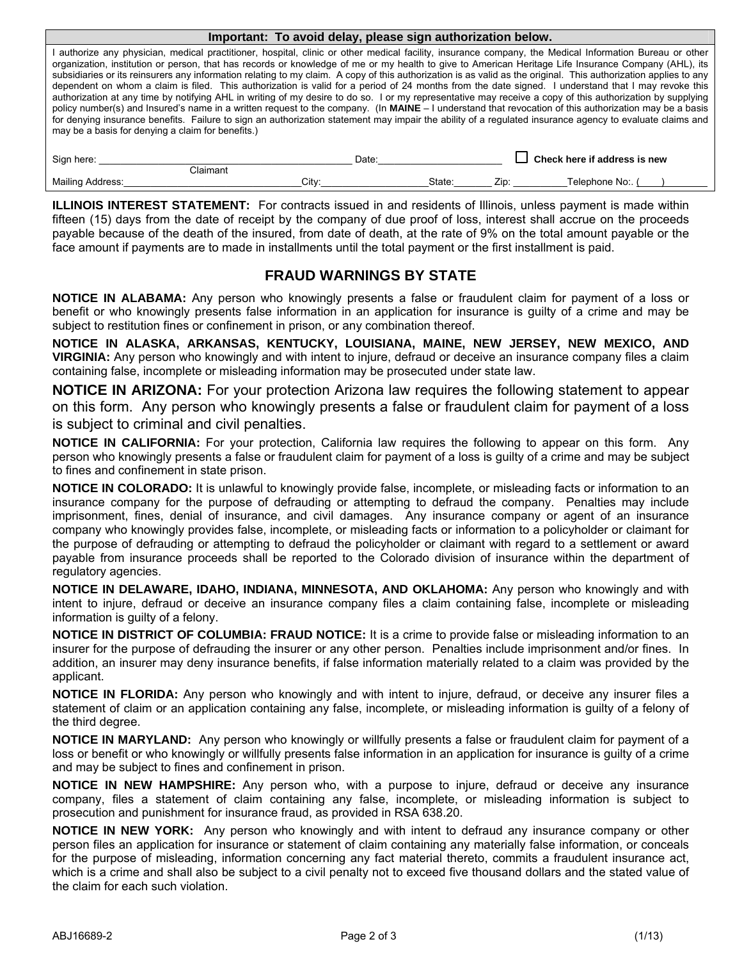| Important: To avoid delay, please sign authorization below.                                                                                                                                                                                                                                                                                                                                                                                                                                                                                                                                                                                                                                                                                                                                                                                                                                                                                                                                                                                                                                                                                                                        |       |        |                                     |                 |  |  |  |  |  |  |
|------------------------------------------------------------------------------------------------------------------------------------------------------------------------------------------------------------------------------------------------------------------------------------------------------------------------------------------------------------------------------------------------------------------------------------------------------------------------------------------------------------------------------------------------------------------------------------------------------------------------------------------------------------------------------------------------------------------------------------------------------------------------------------------------------------------------------------------------------------------------------------------------------------------------------------------------------------------------------------------------------------------------------------------------------------------------------------------------------------------------------------------------------------------------------------|-------|--------|-------------------------------------|-----------------|--|--|--|--|--|--|
| I authorize any physician, medical practitioner, hospital, clinic or other medical facility, insurance company, the Medical Information Bureau or other<br>organization, institution or person, that has records or knowledge of me or my health to give to American Heritage Life Insurance Company (AHL), its<br>subsidiaries or its reinsurers any information relating to my claim. A copy of this authorization is as valid as the original. This authorization applies to any<br>dependent on whom a claim is filed. This authorization is valid for a period of 24 months from the date signed. I understand that I may revoke this<br>authorization at any time by notifying AHL in writing of my desire to do so. I or my representative may receive a copy of this authorization by supplying<br>policy number(s) and Insured's name in a written request to the company. (In MAINE - I understand that revocation of this authorization may be a basis<br>for denying insurance benefits. Failure to sign an authorization statement may impair the ability of a regulated insurance agency to evaluate claims and<br>may be a basis for denying a claim for benefits.) |       |        |                                     |                 |  |  |  |  |  |  |
| Sign here:                                                                                                                                                                                                                                                                                                                                                                                                                                                                                                                                                                                                                                                                                                                                                                                                                                                                                                                                                                                                                                                                                                                                                                         | Date: |        | $\Box$ Check here if address is new |                 |  |  |  |  |  |  |
| Claimant                                                                                                                                                                                                                                                                                                                                                                                                                                                                                                                                                                                                                                                                                                                                                                                                                                                                                                                                                                                                                                                                                                                                                                           |       |        |                                     |                 |  |  |  |  |  |  |
| <b>Mailing Address:</b>                                                                                                                                                                                                                                                                                                                                                                                                                                                                                                                                                                                                                                                                                                                                                                                                                                                                                                                                                                                                                                                                                                                                                            | Citv: | State: | Zip:                                | Telephone No: ( |  |  |  |  |  |  |

**ILLINOIS INTEREST STATEMENT:** For contracts issued in and residents of Illinois, unless payment is made within fifteen (15) days from the date of receipt by the company of due proof of loss, interest shall accrue on the proceeds payable because of the death of the insured, from date of death, at the rate of 9% on the total amount payable or the face amount if payments are to made in installments until the total payment or the first installment is paid.

## **FRAUD WARNINGS BY STATE**

**NOTICE IN ALABAMA:** Any person who knowingly presents a false or fraudulent claim for payment of a loss or benefit or who knowingly presents false information in an application for insurance is guilty of a crime and may be subject to restitution fines or confinement in prison, or any combination thereof.

**NOTICE IN ALASKA, ARKANSAS, KENTUCKY, LOUISIANA, MAINE, NEW JERSEY, NEW MEXICO, AND VIRGINIA:** Any person who knowingly and with intent to injure, defraud or deceive an insurance company files a claim containing false, incomplete or misleading information may be prosecuted under state law.

**NOTICE IN ARIZONA:** For your protection Arizona law requires the following statement to appear on this form. Any person who knowingly presents a false or fraudulent claim for payment of a loss is subject to criminal and civil penalties.

**NOTICE IN CALIFORNIA:** For your protection, California law requires the following to appear on this form. Any person who knowingly presents a false or fraudulent claim for payment of a loss is guilty of a crime and may be subject to fines and confinement in state prison.

**NOTICE IN COLORADO:** It is unlawful to knowingly provide false, incomplete, or misleading facts or information to an insurance company for the purpose of defrauding or attempting to defraud the company. Penalties may include imprisonment, fines, denial of insurance, and civil damages. Any insurance company or agent of an insurance company who knowingly provides false, incomplete, or misleading facts or information to a policyholder or claimant for the purpose of defrauding or attempting to defraud the policyholder or claimant with regard to a settlement or award payable from insurance proceeds shall be reported to the Colorado division of insurance within the department of regulatory agencies.

**NOTICE IN DELAWARE, IDAHO, INDIANA, MINNESOTA, AND OKLAHOMA:** Any person who knowingly and with intent to injure, defraud or deceive an insurance company files a claim containing false, incomplete or misleading information is guilty of a felony.

**NOTICE IN DISTRICT OF COLUMBIA: FRAUD NOTICE:** It is a crime to provide false or misleading information to an insurer for the purpose of defrauding the insurer or any other person. Penalties include imprisonment and/or fines. In addition, an insurer may deny insurance benefits, if false information materially related to a claim was provided by the applicant.

**NOTICE IN FLORIDA:** Any person who knowingly and with intent to injure, defraud, or deceive any insurer files a statement of claim or an application containing any false, incomplete, or misleading information is guilty of a felony of the third degree.

**NOTICE IN MARYLAND:** Any person who knowingly or willfully presents a false or fraudulent claim for payment of a loss or benefit or who knowingly or willfully presents false information in an application for insurance is guilty of a crime and may be subject to fines and confinement in prison.

**NOTICE IN NEW HAMPSHIRE:** Any person who, with a purpose to injure, defraud or deceive any insurance company, files a statement of claim containing any false, incomplete, or misleading information is subject to prosecution and punishment for insurance fraud, as provided in RSA 638.20.

**NOTICE IN NEW YORK:** Any person who knowingly and with intent to defraud any insurance company or other person files an application for insurance or statement of claim containing any materially false information, or conceals for the purpose of misleading, information concerning any fact material thereto, commits a fraudulent insurance act, which is a crime and shall also be subject to a civil penalty not to exceed five thousand dollars and the stated value of the claim for each such violation.